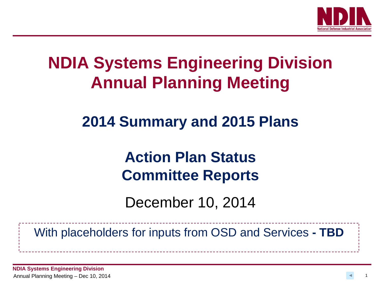

## **NDIA Systems Engineering Division Annual Planning Meeting**

## **2014 Summary and 2015 Plans**

## **Action Plan Status Committee Reports**

December 10, 2014

With placeholders for inputs from OSD and Services **- TBD**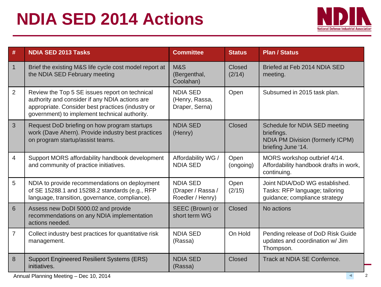## **NDIA SED 2014 Actions**



| $\#$           | <b>NDIA SED 2013 Tasks</b>                                                                                                                                                                             | <b>Committee</b>                                         | <b>Status</b>     | <b>Plan / Status</b>                                                                                         |
|----------------|--------------------------------------------------------------------------------------------------------------------------------------------------------------------------------------------------------|----------------------------------------------------------|-------------------|--------------------------------------------------------------------------------------------------------------|
| $\overline{1}$ | Brief the existing M&S life cycle cost model report at<br>the NDIA SED February meeting                                                                                                                | M&S<br>(Bergenthal,<br>Coolahan)                         | Closed<br>(2/14)  | Briefed at Feb 2014 NDIA SED<br>meeting.                                                                     |
| $\overline{2}$ | Review the Top 5 SE issues report on technical<br>authority and consider if any NDIA actions are<br>appropriate. Consider best practices (industry or<br>government) to implement technical authority. | <b>NDIA SED</b><br>(Henry, Rassa,<br>Draper, Serna)      | Open              | Subsumed in 2015 task plan.                                                                                  |
| 3              | Request DoD briefing on how program startups<br>work (Dave Ahern). Provide industry best practices<br>on program startup/assist teams.                                                                 | <b>NDIA SED</b><br>(Henry)                               | Closed            | Schedule for NDIA SED meeting<br>briefings.<br><b>NDIA PM Division (formerly ICPM)</b><br>briefing June '14. |
| 4              | Support MORS affordability handbook development<br>and community of practice initiatives.                                                                                                              | Affordability WG /<br><b>NDIA SED</b>                    | Open<br>(ongoing) | MORS workshop outbrief 4/14.<br>Affordability handbook drafts in work,<br>continuing.                        |
| 5              | NDIA to provide recommendations on deployment<br>of SE 15288.1 and 15288.2 standards (e.g., RFP<br>language, transition, governance, compliance).                                                      | <b>NDIA SED</b><br>(Draper / Rassa /<br>Roedler / Henry) | Open<br>(2/15)    | Joint NDIA/DoD WG established.<br>Tasks: RFP language; tailoring<br>guidance; compliance strategy            |
| $6\phantom{1}$ | Assess new DoDI 5000.02 and provide<br>recommendations on any NDIA implementation<br>actions needed.                                                                                                   | SEEC (Brown) or<br>short term WG                         | Closed            | No actions                                                                                                   |
| 7              | Collect industry best practices for quantitative risk<br>management.                                                                                                                                   | <b>NDIA SED</b><br>(Rassa)                               | On Hold           | Pending release of DoD Risk Guide<br>updates and coordination w/ Jim<br>Thompson.                            |
| 8              | <b>Support Engineered Resilient Systems (ERS)</b><br>initiatives.                                                                                                                                      | <b>NDIA SED</b><br>(Rassa)                               | Closed            | Track at NDIA SE Confernce.                                                                                  |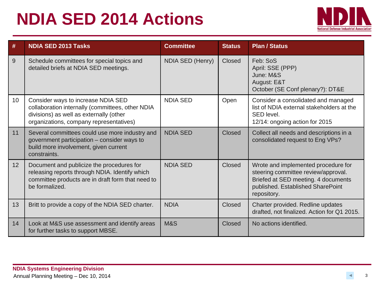## **NDIA SED 2014 Actions**



| #                | <b>NDIA SED 2013 Tasks</b>                                                                                                                                                   | <b>Committee</b> | <b>Status</b> | <b>Plan / Status</b>                                                                                                                                                  |
|------------------|------------------------------------------------------------------------------------------------------------------------------------------------------------------------------|------------------|---------------|-----------------------------------------------------------------------------------------------------------------------------------------------------------------------|
| $\boldsymbol{9}$ | Schedule committees for special topics and<br>detailed briefs at NDIA SED meetings.                                                                                          | NDIA SED (Henry) | Closed        | Feb: SoS<br>April: SSE (PPP)<br>June: M&S<br>August: E&T<br>October (SE Conf plenary?): DT&E                                                                          |
| 10 <sup>°</sup>  | Consider ways to increase NDIA SED<br>collaboration internally (committees, other NDIA<br>divisions) as well as externally (other<br>organizations, company representatives) | <b>NDIA SED</b>  | Open          | Consider a consolidated and managed<br>list of NDIA external stakeholders at the<br>SED level.<br>12/14: ongoing action for 2015                                      |
| 11               | Several committees could use more industry and<br>government participation - consider ways to<br>build more involvement, given current<br>constraints.                       | <b>NDIA SED</b>  | Closed        | Collect all needs and descriptions in a<br>consolidated request to Eng VPs?                                                                                           |
| 12 <sup>°</sup>  | Document and publicize the procedures for<br>releasing reports through NDIA. Identify which<br>committee products are in draft form that need to<br>be formalized.           | <b>NDIA SED</b>  | Closed        | Wrote and implemented procedure for<br>steering committee review/approval.<br>Briefed at SED meeting. 4 documents<br>published. Established SharePoint<br>repository. |
| 13               | Britt to provide a copy of the NDIA SED charter.                                                                                                                             | <b>NDIA</b>      | Closed        | Charter provided. Redline updates<br>drafted, not finalized. Action for Q1 2015.                                                                                      |
| 14               | Look at M&S use assessment and identify areas<br>for further tasks to support MBSE.                                                                                          | <b>M&amp;S</b>   | Closed        | No actions identified.                                                                                                                                                |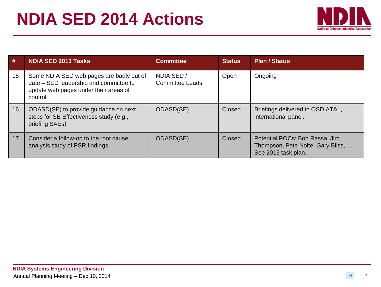

| #  | <b>NDIA SED 2013 Tasks</b>                                                                                                              | <b>Committee</b>              | <b>Status</b> | <b>Plan / Status</b>                                                                       |
|----|-----------------------------------------------------------------------------------------------------------------------------------------|-------------------------------|---------------|--------------------------------------------------------------------------------------------|
| 15 | Some NDIA SED web pages are badly out of<br>date - SED leadership and committee to<br>update web pages under their areas of<br>control. | NDIA SED /<br>Committee Leads | Open          | Ongoing                                                                                    |
| 16 | ODASD(SE) to provide guidance on next<br>steps for SE Effectiveness study (e.g.,<br>briefing SAEs)                                      | ODASD(SE)                     | Closed        | Briefings delivered to OSD AT&L,<br>international panel.                                   |
| 17 | Consider a follow-on to the root cause<br>analysis study of PSR findings.                                                               | ODASD(SE)                     | Closed        | Potential POCs: Bob Rassa, Jim<br>Thompson, Pete Nolte, Gary Bliss,<br>See 2015 task plan. |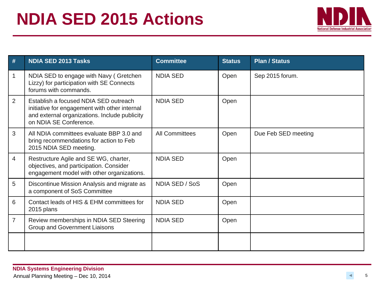

| #              | <b>NDIA SED 2013 Tasks</b>                                                                                                                                        | <b>Committee</b>      | <b>Status</b> | <b>Plan / Status</b> |
|----------------|-------------------------------------------------------------------------------------------------------------------------------------------------------------------|-----------------------|---------------|----------------------|
| 1              | NDIA SED to engage with Navy (Gretchen<br>Lizzy) for participation with SE Connects<br>forums with commands.                                                      | <b>NDIA SED</b>       | Open          | Sep 2015 forum.      |
| 2              | Establish a focused NDIA SED outreach<br>initiative for engagement with other internal<br>and external organizations. Include publicity<br>on NDIA SE Conference. | <b>NDIA SED</b>       | Open          |                      |
| 3              | All NDIA committees evaluate BBP 3.0 and<br>bring recommendations for action to Feb<br>2015 NDIA SED meeting.                                                     | <b>All Committees</b> | Open          | Due Feb SED meeting  |
| 4              | Restructure Agile and SE WG, charter,<br>objectives, and participation. Consider<br>engagement model with other organizations.                                    | <b>NDIA SED</b>       | Open          |                      |
| 5              | Discontinue Mission Analysis and migrate as<br>a component of SoS Committee                                                                                       | NDIA SED / SoS        | Open          |                      |
| 6              | Contact leads of HIS & EHM committees for<br>2015 plans                                                                                                           | <b>NDIA SED</b>       | Open          |                      |
| $\overline{7}$ | Review memberships in NDIA SED Steering<br>Group and Government Liaisons                                                                                          | <b>NDIA SED</b>       | Open          |                      |
|                |                                                                                                                                                                   |                       |               |                      |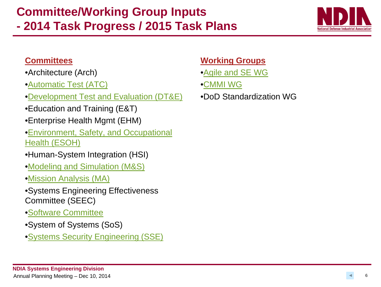### **Committee/Working Group Inputs - 2014 Task Progress / 2015 Task Plans**



#### **Committees**

- •Architecture (Arch)
- •[Automatic Test \(ATC\)](#page-7-0)
- •[Development Test and Evaluation \(DT&E\)](#page-9-0)
- •Education and Training (E&T)
- •Enterprise Health Mgmt (EHM)
- •[Environment, Safety, and Occupational](#page-17-0)  [Health \(ESOH\)](#page-17-0)
- •Human-System Integration (HSI)
- •[Modeling and Simulation \(M&S\)](#page-23-0)
- •[Mission Analysis \(MA\)](#page-21-0)
- •Systems Engineering Effectiveness Committee (SEEC)
- •[Software Committee](#page-25-0)
- •System of Systems (SoS)
- •[Systems Security Engineering \(SSE\)](#page-32-0)

#### **Working Groups**

- •[Agile and SE WG](#page-37-0)
- •[CMMI WG](#page-38-0)
- •DoD Standardization WG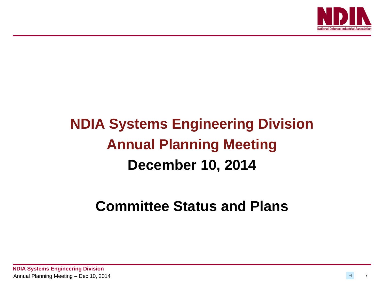

## **NDIA Systems Engineering Division Annual Planning Meeting December 10, 2014**

### **Committee Status and Plans**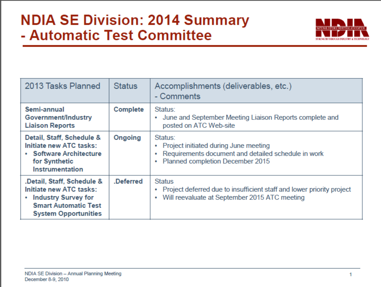### <span id="page-7-0"></span>**NDIA SE Division: 2014 Summary - Automatic Test Committee**



| 2013 Tasks Planned                                                                                                                                | <b>Status</b>   | Accomplishments (deliverables, etc.)<br>- Comments                                                                                                         |
|---------------------------------------------------------------------------------------------------------------------------------------------------|-----------------|------------------------------------------------------------------------------------------------------------------------------------------------------------|
| Semi-annual<br>Government/Industry<br><b>Liaison Reports</b>                                                                                      | <b>Complete</b> | Status:<br>June and September Meeting Liaison Reports complete and<br>۰<br>posted on ATC Web-site                                                          |
| Detail, Staff, Schedule &<br>Initiate new ATC tasks:<br>• Software Architecture<br>for Synthetic<br><b>Instrumentation</b>                        | Ongoing         | Status:<br>Project initiated during June meeting<br>۰<br>Requirements document and detailed schedule in work<br>۰<br>Planned completion December 2015<br>۰ |
| .Detail, Staff, Schedule &<br>Initiate new ATC tasks:<br><b>Industry Survey for</b><br><b>Smart Automatic Test</b><br><b>System Opportunities</b> | .Deferred       | <b>Status</b><br>Project deferred due to insufficient staff and lower priority project<br>۰<br>Will reevaluate at September 2015 ATC meeting<br>۰          |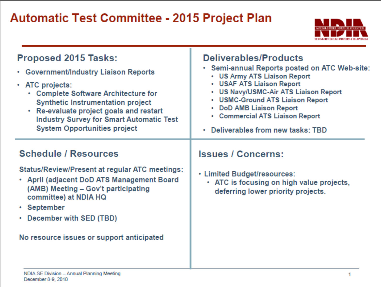# **Automatic Test Committee – 2015**



| <b>Proposed 2015 Tasks:</b><br>• Government/Industry Liaison Reports<br>$\cdot$ ATC projects:<br>• Complete Software Architecture for<br><b>Synthetic Instrumentation project</b><br>• Re-evaluate project goals and restart<br><b>Industry Survey for Smart Automatic Test</b><br><b>System Opportunities project</b> | <b>Deliverables/Products</b><br>• Semi-annual Reports posted on ATC Web-site:<br>• US Army ATS Liaison Report<br>• USAF ATS Liaison Report<br>• US Navy/USMC-Air ATS Liaison Report<br>• USMC-Ground ATS Liaison Report<br>• DoD AMB Liaison Report<br>• Commercial ATS Liaison Report<br>Deliverables from new tasks: TBD |
|------------------------------------------------------------------------------------------------------------------------------------------------------------------------------------------------------------------------------------------------------------------------------------------------------------------------|----------------------------------------------------------------------------------------------------------------------------------------------------------------------------------------------------------------------------------------------------------------------------------------------------------------------------|
| <b>Schedule / Resources</b><br><b>Status/Review/Present at regular ATC meetings:</b><br>• April (adjacent DoD ATS Management Board<br>(AMB) Meeting - Gov't participating<br>committee) at NDIA HQ<br>• September<br>• December with SED (TBD)<br>No resource issues or support anticipated                            | <b>Issues / Concerns:</b><br>• Limited Budget/resources:<br>• ATC is focusing on high value projects,<br>deferring lower priority projects.                                                                                                                                                                                |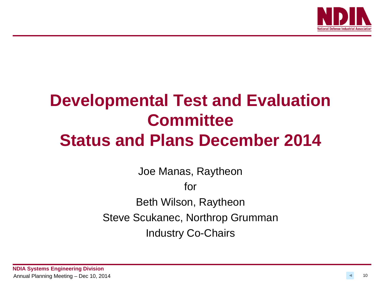

## <span id="page-9-0"></span>**Developmental Test and Evaluation Committee Status and Plans December 2014**

Joe Manas, Raytheon for Beth Wilson, Raytheon Steve Scukanec, Northrop Grumman Industry Co-Chairs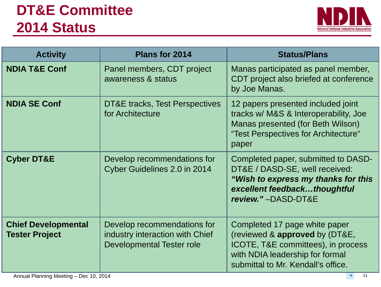## **DT&E Committee 2014 Status**



| <b>Activity</b>                                     | Plans for 2014                                                                              | <b>Status/Plans</b>                                                                                                                                                            |
|-----------------------------------------------------|---------------------------------------------------------------------------------------------|--------------------------------------------------------------------------------------------------------------------------------------------------------------------------------|
| <b>NDIA T&amp;E Conf</b>                            | Panel members, CDT project<br>awareness & status                                            | Manas participated as panel member,<br>CDT project also briefed at conference<br>by Joe Manas.                                                                                 |
| <b>NDIA SE Conf</b>                                 | DT&E tracks, Test Perspectives<br>for Architecture                                          | 12 papers presented included joint<br>tracks w/ M&S & Interoperability, Joe<br>Manas presented (for Beth Wilson)<br>"Test Perspectives for Architecture"<br>paper              |
| <b>Cyber DT&amp;E</b>                               | Develop recommendations for<br>Cyber Guidelines 2.0 in 2014                                 | Completed paper, submitted to DASD-<br>DT&E / DASD-SE, well received:<br>"Wish to express my thanks for this<br>excellent feedbackthoughtful<br>review."-DASD-DT&E             |
| <b>Chief Developmental</b><br><b>Tester Project</b> | Develop recommendations for<br>industry interaction with Chief<br>Developmental Tester role | Completed 17 page white paper<br>(reviewed & approved by (DT&E,<br>ICOTE, T&E committees), in process<br>with NDIA leadership for formal<br>submittal to Mr. Kendall's office. |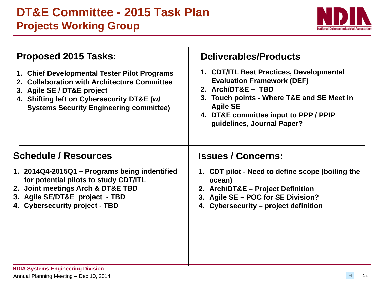

| <b>Proposed 2015 Tasks:</b>                                                                                                                                                                                                    | <b>Deliverables/Products</b>                                                                                                                                                                                                                |
|--------------------------------------------------------------------------------------------------------------------------------------------------------------------------------------------------------------------------------|---------------------------------------------------------------------------------------------------------------------------------------------------------------------------------------------------------------------------------------------|
| 1. Chief Developmental Tester Pilot Programs<br><b>Collaboration with Architecture Committee</b><br>3. Agile SE / DT&E project<br>4. Shifting left on Cybersecurity DT&E (w/<br><b>Systems Security Engineering committee)</b> | 1. CDT/ITL Best Practices, Developmental<br><b>Evaluation Framework (DEF)</b><br>2. Arch/DT&E - TBD<br>3. Touch points - Where T&E and SE Meet in<br><b>Agile SE</b><br>4. DT&E committee input to PPP / PPIP<br>guidelines, Journal Paper? |
| <b>Schedule / Resources</b>                                                                                                                                                                                                    | <b>Issues / Concerns:</b>                                                                                                                                                                                                                   |
| 1. 2014Q4-2015Q1 - Programs being indentified<br>for potential pilots to study CDT/ITL<br>2. Joint meetings Arch & DT&E TBD<br>3. Agile SE/DT&E project - TBD<br>4. Cybersecurity project - TBD                                | 1. CDT pilot - Need to define scope (boiling the<br>ocean)<br>2. Arch/DT&E - Project Definition<br>3. Agile SE - POC for SE Division?<br>4. Cybersecurity – project definition                                                              |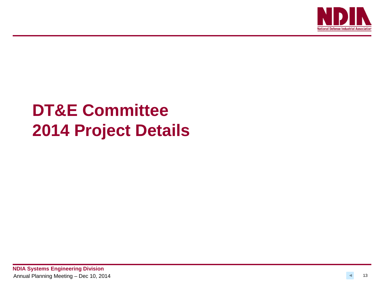

## **DT&E Committee 2014 Project Details**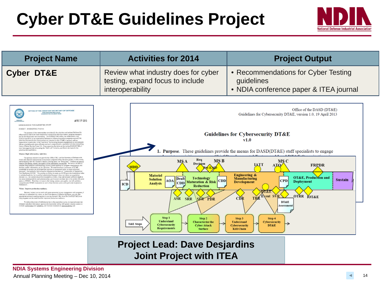## **Cyber DT&E Guidelines Project**



| <b>Project Name</b>                                                                                                                                                                                                                                                                                                                                                                                                                                                                                                                                                                                                                                                                                                                                                                                                                                                                                                                                                                                                                                                                                                                                                                                                                                                                                                                                                                                                                                                                                                                                                                                                                                                                                                                                                                                                                                                                                                                                                                                                                                                                                                                                                                                                                                                                                                                                                                                                                                                                                                                                                                                                                                                                                                                                                                                                                                                                                                                                                                                                                                                                                                                                                                                                                     | <b>Activities for 2014</b>                                                                                                                                                                                                                                                                                                                                                                                                                                  | <b>Project Output</b>                                                                                                                                                                                                                                                                                                                                                                                                                                                                                                                                                                                                                                                                                          |  |
|-----------------------------------------------------------------------------------------------------------------------------------------------------------------------------------------------------------------------------------------------------------------------------------------------------------------------------------------------------------------------------------------------------------------------------------------------------------------------------------------------------------------------------------------------------------------------------------------------------------------------------------------------------------------------------------------------------------------------------------------------------------------------------------------------------------------------------------------------------------------------------------------------------------------------------------------------------------------------------------------------------------------------------------------------------------------------------------------------------------------------------------------------------------------------------------------------------------------------------------------------------------------------------------------------------------------------------------------------------------------------------------------------------------------------------------------------------------------------------------------------------------------------------------------------------------------------------------------------------------------------------------------------------------------------------------------------------------------------------------------------------------------------------------------------------------------------------------------------------------------------------------------------------------------------------------------------------------------------------------------------------------------------------------------------------------------------------------------------------------------------------------------------------------------------------------------------------------------------------------------------------------------------------------------------------------------------------------------------------------------------------------------------------------------------------------------------------------------------------------------------------------------------------------------------------------------------------------------------------------------------------------------------------------------------------------------------------------------------------------------------------------------------------------------------------------------------------------------------------------------------------------------------------------------------------------------------------------------------------------------------------------------------------------------------------------------------------------------------------------------------------------------------------------------------------------------------------------------------------------------|-------------------------------------------------------------------------------------------------------------------------------------------------------------------------------------------------------------------------------------------------------------------------------------------------------------------------------------------------------------------------------------------------------------------------------------------------------------|----------------------------------------------------------------------------------------------------------------------------------------------------------------------------------------------------------------------------------------------------------------------------------------------------------------------------------------------------------------------------------------------------------------------------------------------------------------------------------------------------------------------------------------------------------------------------------------------------------------------------------------------------------------------------------------------------------------|--|
| <b>Cyber DT&amp;E</b>                                                                                                                                                                                                                                                                                                                                                                                                                                                                                                                                                                                                                                                                                                                                                                                                                                                                                                                                                                                                                                                                                                                                                                                                                                                                                                                                                                                                                                                                                                                                                                                                                                                                                                                                                                                                                                                                                                                                                                                                                                                                                                                                                                                                                                                                                                                                                                                                                                                                                                                                                                                                                                                                                                                                                                                                                                                                                                                                                                                                                                                                                                                                                                                                                   | Review what industry does for cyber<br>testing, expand focus to include<br>interoperability                                                                                                                                                                                                                                                                                                                                                                 | • Recommendations for Cyber Testing<br>guidelines<br>• NDIA conference paper & ITEA journal                                                                                                                                                                                                                                                                                                                                                                                                                                                                                                                                                                                                                    |  |
| OFFICE OF THE ASSISTANT SECRETARY OF DEFENSE<br>3030 DEFENSE PENTAGON<br>VASHINGTON, DC 20301-303<br>APR 19 2013<br>MEMORANDUM FOR DASD(DT&E) STAFF<br>SUBJECT: DASD(DT&E) Priorities<br>The purpose of this memorandum is to identify the priorities and actions I believe this<br>office needs to take to be more responsive to acquisition decision makers, program matagers,<br>and the developmental test community. The DASD(DT&E) office has established a very<br>positive reputation as an organization dedicated to helping acquisition programs succeed; the<br>priorities discussed in this memorandum are intended to take DT&E in general, and our<br>organization in particular, to the "next level" by focusing program engagement on test strategies<br>that are simultaneously more efficient and more comprehensive, consistent with the overacching<br>theme of Better Buying Power 2.0. Since assuming the duties as the Acting DASD(DT&E), I<br>have been aggressively advocating the "Shift Left" initiative, and that is the basis for the<br>priorities discussed below.<br>Mission: Right information, right time.<br>Our primary mission is to provide the USD(AT&L) and the Secretary of Defense with<br>timely and objective assessments of acquisition programs at key decision points; in other words,<br>and in keeping with Mr. Kendall's famous Deming quote, we "bring data." I believe we have to<br>improve the timing, content, and quality of the information we provide. We have to be able to<br>ranslate deep technical understanding, across a broad spectrum of program requirements, into<br>decision quality information, at the right time. We must develop a continuum of DT&E<br>knowledge as systems are developed and provide our assessment prior to major milestone<br>decisions. Our method of delivering this information has been an "Assessment of Operational<br>Test Readiness (AOTR)." The process we follow to create an AOTR provides tremendous value<br>in technical analysis, but its utility is diminished because it does not inform an acquisition<br>decision (i.e., the content should be discussed in a DAB), it has not included sufficient depth in<br>key areas (interoperability and cybersecurity), and it occurs one time late in the system life cycle<br>(prior to IOT&E). Therefore, to improve the timing, content, and quality, we will publish a<br>comprehensive DT&E Assessment at each critical decision point, with particular emphasis at<br>Milestone C<br>Vision: Improve production readings<br>Because I expect you to work with great autonomy in your engagement with programs, I<br>want you to understand my vision, so that in the absence of detailed guidance, you can take<br>appropriate actions to assist programs in moving forward. My vision for DASD(DT&E) is so<br>help programs set the conditions for improved production readiness.<br>To reduce discovery of deficiencies late in the acquisition cycle, we must advocate test<br>strategies and plans that ensure rigorous developmental testing with greater mission context to<br>evaluate performance and reliability, and increase emphasis on interoperability and | Req<br><b>MSB</b><br><b>MSA</b><br>Decision<br>MDD<br><b>Materiel</b><br><b>Technology</b><br>Draft<br><b>Solution</b><br>AOA<br><b>CDD</b><br><b>Maturation &amp; Risk</b><br><b>CDD</b><br><b>Analysis</b><br>ICD<br><b>Reduction</b><br><b>ASR</b><br><b>SRR</b><br>SER PDR<br>Step 1<br>Step 2<br><b>Understand</b><br><b>Characterize the</b><br><b>T&amp;E</b> Steps<br><b>Cybersecurity</b><br><b>Cyber Attack</b><br>Requirements<br><b>Surface</b> | Office of the DASD (DT&E)<br>Guidelines for Cybersecurity DT&E, version 1.0, 19 April 2013<br><b>Guidelines for Cybersecurity DT&amp;E</b><br>v1.0<br><b>1. Purpose.</b> These guidelines provide the means for DASD(DT&E) staff specialists to engage<br><b>MS C</b><br>ІАТТ<br><b>FRPDR</b><br>ATO.<br><b>Engineering &amp;</b><br><b>OT&amp;E</b> , Production and<br><b>Manufacturing</b><br><b>Sustain</b><br><b>CPD</b><br><b>Deployment</b><br><b>Development</b><br>ri & F<br><b>OTRR</b><br><b>Event SVR</b><br><b>IOT&amp;E</b><br>TRR<br>CDR<br><b>DT&amp;E</b><br>Assessment<br>Step 3<br>Step 4<br><b>Understand</b><br><b>Cybersecurity</b><br><b>Cybersecurity</b><br>DT&E<br><b>Kill Chain</b> |  |

### **Project Lead: Dave Desjardins Joint Project with ITEA**

#### **NDIA Systems Engineering Division** Annual Planning Meeting – Dec 10, 2014 14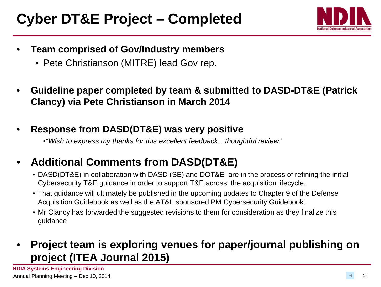## **Cyber DT&E Project – Completed**



- **Team comprised of Gov/Industry members**
	- Pete Christianson (MITRE) lead Gov rep.
- **Guideline paper completed by team & submitted to DASD-DT&E (Patrick Clancy) via Pete Christianson in March 2014**
- **Response from DASD(DT&E) was very positive**

•*"Wish to express my thanks for this excellent feedback…thoughtful review."* 

### • **Additional Comments from DASD(DT&E)**

- DASD(DT&E) in collaboration with DASD (SE) and DOT&E are in the process of refining the initial Cybersecurity T&E guidance in order to support T&E across the acquisition lifecycle.
- That guidance will ultimately be published in the upcoming updates to Chapter 9 of the Defense Acquisition Guidebook as well as the AT&L sponsored PM Cybersecurity Guidebook.
- Mr Clancy has forwarded the suggested revisions to them for consideration as they finalize this guidance

### • **Project team is exploring venues for paper/journal publishing on project (ITEA Journal 2015)**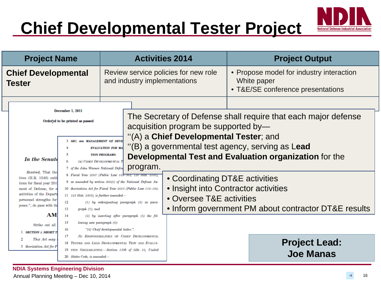## **Chief Developmental Tester Project**



|  | <b>Project Name</b>                                                                                                                                                                                                                                                                                                                                                                                                                                                                                                                                                                                                                                                                                                                                                                                                                                                                                                                                                                                |                                                                                                                                |                                                                                                    | <b>Activities 2014</b>                               |                                                                                                                                    | <b>Project Output</b>                                                                                                           |
|--|----------------------------------------------------------------------------------------------------------------------------------------------------------------------------------------------------------------------------------------------------------------------------------------------------------------------------------------------------------------------------------------------------------------------------------------------------------------------------------------------------------------------------------------------------------------------------------------------------------------------------------------------------------------------------------------------------------------------------------------------------------------------------------------------------------------------------------------------------------------------------------------------------------------------------------------------------------------------------------------------------|--------------------------------------------------------------------------------------------------------------------------------|----------------------------------------------------------------------------------------------------|------------------------------------------------------|------------------------------------------------------------------------------------------------------------------------------------|---------------------------------------------------------------------------------------------------------------------------------|
|  | <b>Chief Developmental</b><br><b>Tester</b>                                                                                                                                                                                                                                                                                                                                                                                                                                                                                                                                                                                                                                                                                                                                                                                                                                                                                                                                                        |                                                                                                                                | Review service policies for new role<br>and industry implementations                               |                                                      | • Propose model for industry interaction<br>White paper<br>• T&E/SE conference presentations                                       |                                                                                                                                 |
|  | <b>In the Senate</b>                                                                                                                                                                                                                                                                                                                                                                                                                                                                                                                                                                                                                                                                                                                                                                                                                                                                                                                                                                               | December 1, 2011<br>Ordered to be printed as passed<br><b>3 SEC. 806. MANAGEMENT OF DEVE</b><br>5<br>(a) CHIEF DEVELOPMENTAL 1 | <b>EVALUATION FOR MA</b><br><b>TION PROGRAMS.</b>                                                  | program.                                             | acquisition program be supported by-<br>"(A) a Chief Developmental Tester; and<br>"(B) a governmental test agency, serving as Lead | The Secretary of Defense shall require that each major defense<br><b>Developmental Test and Evaluation organization for the</b> |
|  | 7 of the John Warner National Defen<br>Resolved, That the<br>8 Fiscal Year 2007 (Public Law 109-364; 120 Stat. 2330)<br>tives (H.R. 1540) entit<br>9 as amended by section 805(c) of the National Defense Au-<br>tions for fiscal year 201<br>10 thorization Act for Fiscal Year 2010 (Public Law 110-181;<br>ment of Defense, for r<br>activities of the Depart<br>11 123 Stat. 2403), is further amended-<br>personnel strengths for<br>12<br>$(1)$ by redesignating paragraph $(6)$ as para-<br>poses.", do pass with th<br>13<br>$graph(7)$ ; and<br>AM<br>14<br>$(2)$ by inserting after paragraph $(5)$ the fol-<br>15<br>lowing new paragraph (6):<br>Strike out all<br>16<br>"(6) Chief developmental tester.".<br><b>SECTION 1. SHORT T</b><br>17<br>(b) RESPONSIBILITIES OF CHIEF DEVELOPMENTAL<br>This Act may<br>18 TESTER AND LEAD DEVELOPMENTAL TEST AND EVALUA-<br>3 thorization Act for F<br>19 TION ORGANIZATION.-Section 139b of title 10, United<br>20 States Code, is amended- |                                                                                                                                | • Coordinating DT&E activities<br>• Insight into Contractor activities<br>• Oversee T&E activities | • Inform government PM about contractor DT&E results |                                                                                                                                    |                                                                                                                                 |
|  |                                                                                                                                                                                                                                                                                                                                                                                                                                                                                                                                                                                                                                                                                                                                                                                                                                                                                                                                                                                                    |                                                                                                                                |                                                                                                    | <b>Project Lead:</b><br><b>Joe Manas</b>             |                                                                                                                                    |                                                                                                                                 |

**NDIA Systems Engineering Division** Annual Planning Meeting – Dec 10, 2014 16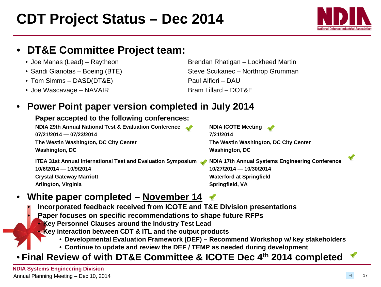## **CDT Project Status – Dec 2014**

### • **DT&E Committee Project team:**

- 
- 
- Tom Simms DASD(DT&E) Paul Alfieri DAU
- Joe Wascavage NAVAIR Bram Lillard DOT&E

• Joe Manas (Lead) – Raytheon Brendan Rhatigan – Lockheed Martin • Sandi Gianotas – Boeing (BTE) Steve Scukanec – Northrop Grumman

#### • **Power Point paper version completed in July 2014**

#### **Paper accepted to the following conferences:**

**NDIA 29th Annual National Test & Evaluation Conference <b>NOI**A ICOTE Meeting **07/21/2014 — 07/23/2014 7/21/2014 The Westin Washington, DC City Center The Westin Washington, DC City Center Washington, DC Washington, DC**

**ITEA 31st Annual International Test and Evaluation Symposium NDIA 17th Annual Systems Engineering Conference 10/6/2014 — 10/9/2014 10/27/2014 — 10/30/2014 Crystal Gateway Marriott Waterford at Springfield Arlington, Virginia Springfield, VA** 

### • **White paper completed – November 14**

• **Incorporated feedback received from ICOTE and T&E Division presentations**

• **Paper focuses on specific recommendations to shape future RFPs** • **Key Personnel Clauses around the Industry Test Lead**

- **Key interaction between CDT & ITL and the output products**
	- **Developmental Evaluation Framework (DEF) – Recommend Workshop w/ key stakeholders**
	- **Continue to update and review the DEF / TEMP as needed during development**

### • **Final Review of with DT&E Committee & ICOTE Dec 4th 2014 completed**

**NDIA Systems Engineering Division** Annual Planning Meeting - Dec 10, 2014

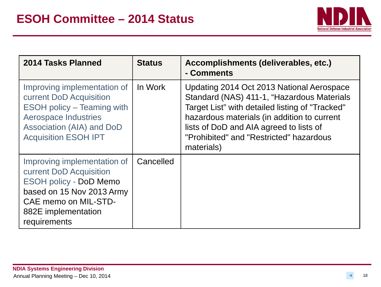

<span id="page-17-0"></span>

| 2014 Tasks Planned                                                                                                                                                                         | <b>Status</b> | Accomplishments (deliverables, etc.)<br>- Comments                                                                                                                                                                                                                                            |
|--------------------------------------------------------------------------------------------------------------------------------------------------------------------------------------------|---------------|-----------------------------------------------------------------------------------------------------------------------------------------------------------------------------------------------------------------------------------------------------------------------------------------------|
| Improving implementation of<br>current DoD Acquisition<br><b>ESOH policy – Teaming with</b><br><b>Aerospace Industries</b><br>Association (AIA) and DoD<br><b>Acquisition ESOH IPT</b>     | In Work       | Updating 2014 Oct 2013 National Aerospace<br>Standard (NAS) 411-1, "Hazardous Materials<br>Target List" with detailed listing of "Tracked"<br>hazardous materials (in addition to current<br>lists of DoD and AIA agreed to lists of<br>"Prohibited" and "Restricted" hazardous<br>materials) |
| Improving implementation of<br>current DoD Acquisition<br><b>ESOH policy - DoD Memo</b><br>based on 15 Nov 2013 Army<br><b>CAE memo on MIL-STD-</b><br>882E implementation<br>requirements | Cancelled     |                                                                                                                                                                                                                                                                                               |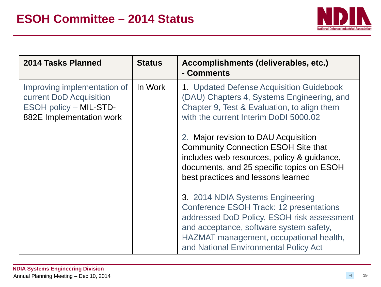

| 2014 Tasks Planned                                                                                           | <b>Status</b> | Accomplishments (deliverables, etc.)<br>- Comments                                                                                                                                                                                                              |
|--------------------------------------------------------------------------------------------------------------|---------------|-----------------------------------------------------------------------------------------------------------------------------------------------------------------------------------------------------------------------------------------------------------------|
| Improving implementation of<br>current DoD Acquisition<br>ESOH policy - MIL-STD-<br>882E Implementation work | In Work       | 1. Updated Defense Acquisition Guidebook<br>(DAU) Chapters 4, Systems Engineering, and<br>Chapter 9, Test & Evaluation, to align them<br>with the current Interim DoDI 5000.02                                                                                  |
|                                                                                                              |               | 2. Major revision to DAU Acquisition<br><b>Community Connection ESOH Site that</b><br>includes web resources, policy & guidance,<br>documents, and 25 specific topics on ESOH<br>best practices and lessons learned                                             |
|                                                                                                              |               | 3. 2014 NDIA Systems Engineering<br><b>Conference ESOH Track: 12 presentations</b><br>addressed DoD Policy, ESOH risk assessment<br>and acceptance, software system safety,<br>HAZMAT management, occupational health,<br>and National Environmental Policy Act |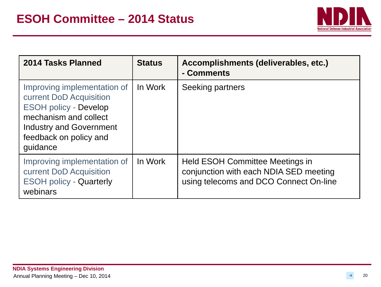

| 2014 Tasks Planned                                                                                                                                                                      | <b>Status</b> | Accomplishments (deliverables, etc.)<br>- Comments                                                                         |
|-----------------------------------------------------------------------------------------------------------------------------------------------------------------------------------------|---------------|----------------------------------------------------------------------------------------------------------------------------|
| Improving implementation of<br>current DoD Acquisition<br><b>ESOH policy - Develop</b><br>mechanism and collect<br><b>Industry and Government</b><br>feedback on policy and<br>guidance | In Work       | Seeking partners                                                                                                           |
| Improving implementation of<br>current DoD Acquisition<br><b>ESOH policy - Quarterly</b><br>webinars                                                                                    | In Work       | <b>Held ESOH Committee Meetings in</b><br>conjunction with each NDIA SED meeting<br>using telecoms and DCO Connect On-line |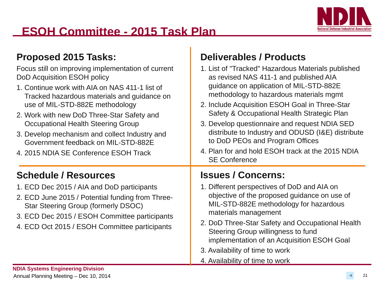

### **ESOH Committee - 2015 Task Plan**

#### **Proposed 2015 Tasks:**

Focus still on improving implementation of DoD Acquisition ESOH policy

- 1. Continue work with AIA on NAS 411-1 Tracked hazardous materials and quidance on the Tracked use of MIL-STD-882E methodology
- 2. Work with new DoD Three-Star Safety Occupational Health Steering Group
- 3. Develop mechanism and collect Indust Government feedback on MIL-STD-882
- 4. 2015 NDIA SE Conference ESOH Track

### **Schedule / Resources**

- 1. ECD Dec 2015 / AIA and DoD participa
- 2. ECD June 2015 / Potential funding from Star Steering Group (formerly DSOC)
- 3. ECD Dec 2015 / ESOH Committee par
- 4. ECD Oct 2015 / ESOH Committee part

### **Deliverables / Products**

| f current<br>list of<br>ance on<br>and<br>ry and<br>2E<br>:k | 1. List of "Tracked" Hazardous Materials published<br>as revised NAS 411-1 and published AIA<br>guidance on application of MIL-STD-882E<br>methodology to hazardous materials mgmt<br>2. Include Acquisition ESOH Goal in Three-Star<br>Safety & Occupational Health Strategic Plan<br>3. Develop questionnaire and request NDIA SED<br>distribute to Industry and ODUSD (I&E) distribute<br>to DoD PEOs and Program Offices<br>4. Plan for and hold ESOH track at the 2015 NDIA |
|--------------------------------------------------------------|----------------------------------------------------------------------------------------------------------------------------------------------------------------------------------------------------------------------------------------------------------------------------------------------------------------------------------------------------------------------------------------------------------------------------------------------------------------------------------|
|                                                              | <b>SE Conference</b>                                                                                                                                                                                                                                                                                                                                                                                                                                                             |
|                                                              | <b>Issues / Concerns:</b>                                                                                                                                                                                                                                                                                                                                                                                                                                                        |
| ınts<br>n Three-<br>ticipants<br>ticipants                   | 1. Different perspectives of DoD and AIA on<br>objective of the proposed guidance on use of<br>MIL-STD-882E methodology for hazardous<br>materials management<br>2. DoD Three-Star Safety and Occupational Health                                                                                                                                                                                                                                                                |
|                                                              | Steering Group willingness to fund<br>implementation of an Acquisition ESOH Goal<br>3. Availability of time to work                                                                                                                                                                                                                                                                                                                                                              |

4. Availability of time to work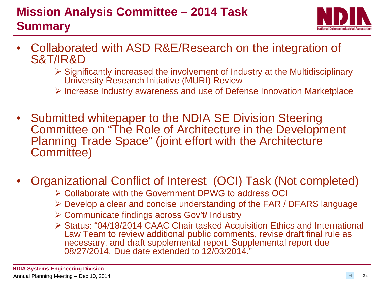### <span id="page-21-0"></span>**Mission Analysis Committee – 2014 Task Summary**



- Collaborated with ASD R&E/Research on the integration of S&T/IR&D
	- Significantly increased the involvement of Industry at the Multidisciplinary University Research Initiative (MURI) Review
	- $\triangleright$  Increase Industry awareness and use of Defense Innovation Marketplace
- Submitted whitepaper to the NDIA SE Division Steering Committee on "The Role of Architecture in the Development Planning Trade Space" (joint effort with the Architecture Committee)
- Organizational Conflict of Interest (OCI) Task (Not completed)
	- Collaborate with the Government DPWG to address OCI
	- Develop a clear and concise understanding of the FAR / DFARS language
	- Communicate findings across Gov't/ Industry
	- Status: "04/18/2014 CAAC Chair tasked Acquisition Ethics and International Law Team to review additional public comments, revise draft final rule as necessary, and draft supplemental report. Supplemental report due 08/27/2014. Due date extended to 12/03/2014."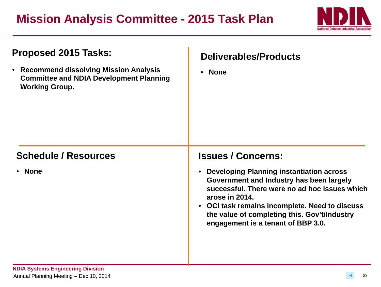### **Mission Analysis Committee - 2015 Task Plan**



| Proposed 2015 Tasks:<br>• Recommend dissolving Mission Analysis<br><b>Committee and NDIA Development Planning</b><br><b>Working Group.</b> | <b>Deliverables/Products</b><br><b>None</b><br>$\bullet$                                                                                                                                                                                                                                                            |  |  |  |
|--------------------------------------------------------------------------------------------------------------------------------------------|---------------------------------------------------------------------------------------------------------------------------------------------------------------------------------------------------------------------------------------------------------------------------------------------------------------------|--|--|--|
| <b>Schedule / Resources</b>                                                                                                                | <b>Issues / Concerns:</b>                                                                                                                                                                                                                                                                                           |  |  |  |
| • None                                                                                                                                     | <b>Developing Planning instantiation across</b><br>$\bullet$<br>Government and Industry has been largely<br>successful. There were no ad hoc issues which<br>arose in 2014.<br>• OCI task remains incomplete. Need to discuss<br>the value of completing this. Gov't/Industry<br>engagement is a tenant of BBP 3.0. |  |  |  |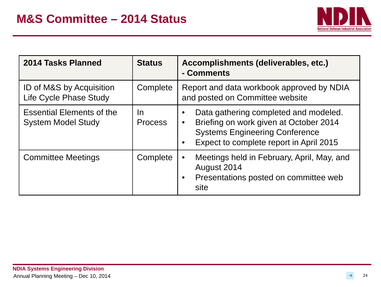

<span id="page-23-0"></span>

| 2014 Tasks Planned                                            | <b>Status</b>               | Accomplishments (deliverables, etc.)<br>- Comments                                                                                                                               |  |  |
|---------------------------------------------------------------|-----------------------------|----------------------------------------------------------------------------------------------------------------------------------------------------------------------------------|--|--|
| ID of M&S by Acquisition<br>Life Cycle Phase Study            | Complete                    | Report and data workbook approved by NDIA<br>and posted on Committee website                                                                                                     |  |  |
| <b>Essential Elements of the</b><br><b>System Model Study</b> | <u>In</u><br><b>Process</b> | Data gathering completed and modeled.<br>Briefing on work given at October 2014<br>$\bullet$<br><b>Systems Engineering Conference</b><br>Expect to complete report in April 2015 |  |  |
| <b>Committee Meetings</b>                                     | Complete                    | Meetings held in February, April, May, and<br>August 2014<br>Presentations posted on committee web<br>site                                                                       |  |  |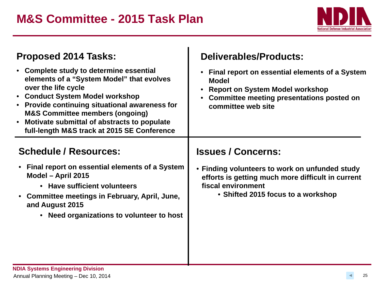

| <b>Proposed 2014 Tasks:</b><br>• Complete study to determine essential<br>elements of a "System Model" that evolves<br>over the life cycle<br>• Conduct System Model workshop<br><b>Provide continuing situational awareness for</b><br>$\bullet$<br><b>M&amp;S Committee members (ongoing)</b><br>Motivate submittal of abstracts to populate<br>$\bullet$<br>full-length M&S track at 2015 SE Conference | Deliverables/Products:<br>Final report on essential elements of a System<br>$\bullet$<br><b>Model</b><br><b>Report on System Model workshop</b><br>Committee meeting presentations posted on<br>committee web site |  |  |
|------------------------------------------------------------------------------------------------------------------------------------------------------------------------------------------------------------------------------------------------------------------------------------------------------------------------------------------------------------------------------------------------------------|--------------------------------------------------------------------------------------------------------------------------------------------------------------------------------------------------------------------|--|--|
| <b>Schedule / Resources:</b><br>Final report on essential elements of a System<br>Model - April 2015<br>• Have sufficient volunteers<br>• Committee meetings in February, April, June,<br>and August 2015<br>Need organizations to volunteer to host<br>$\bullet$                                                                                                                                          | <b>Issues / Concerns:</b><br>• Finding volunteers to work on unfunded study<br>efforts is getting much more difficult in current<br>fiscal environment<br>• Shifted 2015 focus to a workshop                       |  |  |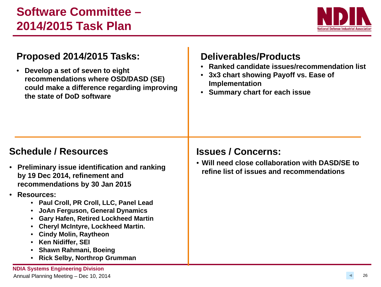

### <span id="page-25-0"></span>**Proposed 2014/2015 Tasks:**

• **Develop a set of seven to eight recommendations where OSD/DASD (SE) could make a difference regarding improving the state of DoD software**

### **Deliverables/Products**

- **Ranked candidate issues/recommendation list**
- **3x3 chart showing Payoff vs. Ease of Implementation**
- **Summary chart for each issue**

#### **Schedule / Resources**

- **Preliminary issue identification and ranking by 19 Dec 2014, refinement and recommendations by 30 Jan 2015**
- **Resources:**
	- **Paul Croll, PR Croll, LLC, Panel Lead**
	- **JoAn Ferguson, General Dynamics**
	- **Gary Hafen, Retired Lockheed Martin**
	- **Cheryl McIntyre, Lockheed Martin.**
	- **Cindy Molin, Raytheon**
	- **Ken Nidiffer, SEI**
	- **Shawn Rahmani, Boeing**
	- **Rick Selby, Northrop Grumman**

#### **NDIA Systems Engineering Division**

Annual Planning Meeting - Dec 10, 2014

### **Issues / Concerns:**

• **Will need close collaboration with DASD/SE to refine list of issues and recommendations**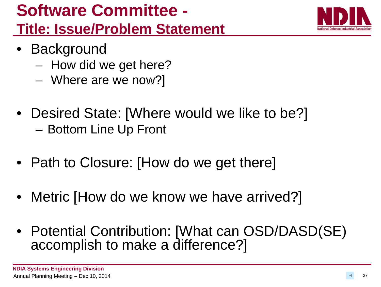## **Software Committee - Title: Issue/Problem Statement**



- Background
	- How did we get here?
	- Where are we now?]
- Desired State: [Where would we like to be?] – Bottom Line Up Front
- Path to Closure: [How do we get there]
- Metric [How do we know we have arrived?]
- Potential Contribution: [What can OSD/DASD(SE) accomplish to make a difference?]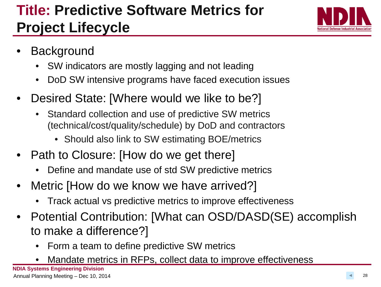## **Title: Predictive Software Metrics for Project Lifecycle**



- **Background** 
	- SW indicators are mostly lagging and not leading
	- DoD SW intensive programs have faced execution issues
- Desired State: [Where would we like to be?]
	- Standard collection and use of predictive SW metrics (technical/cost/quality/schedule) by DoD and contractors
		- Should also link to SW estimating BOE/metrics
- Path to Closure: [How do we get there]
	- Define and mandate use of std SW predictive metrics
- Metric [How do we know we have arrived?]
	- Track actual vs predictive metrics to improve effectiveness
- Potential Contribution: [What can OSD/DASD(SE) accomplish to make a difference?]
	- Form a team to define predictive SW metrics
	- Mandate metrics in RFPs, collect data to improve effectiveness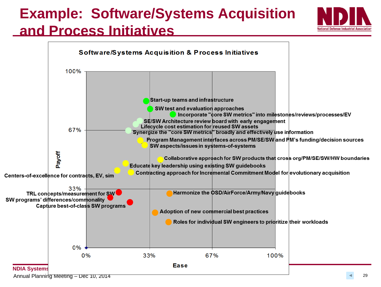# **Example: Software/Systems Acquisition**







Annual Planning Meeting – Dec 10, 2014 **29** 29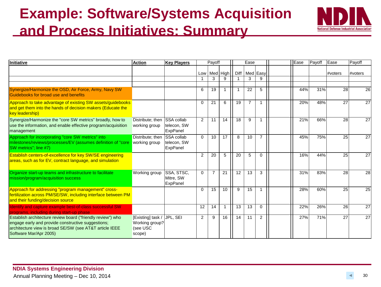## **Example: Software/Systems Acquisition and Process Initiatives: Summary**



| Initiative                                                                                                                                                                                             | <b>Action</b>                                             | <b>Key Players</b>                           |                | Payoff         |              |      | Ease           |                | Ease | Payoff | Ease    | Payoff  |
|--------------------------------------------------------------------------------------------------------------------------------------------------------------------------------------------------------|-----------------------------------------------------------|----------------------------------------------|----------------|----------------|--------------|------|----------------|----------------|------|--------|---------|---------|
|                                                                                                                                                                                                        |                                                           |                                              |                |                | Low Med High | Diff |                | Med Easy       |      |        | #voters | #voters |
|                                                                                                                                                                                                        |                                                           |                                              |                | 3              |              |      | 3              | 9              |      |        |         |         |
| Synergize/Harmonize the OSD, Air Force, Army, Navy SW<br>Guidebooks for broad use and benefits                                                                                                         |                                                           |                                              | 6              | 19             |              |      | 22             | 5              | 44%  | 31%    | 28      | 26      |
| Approach to take advantage of existing SW assets/guidebooks<br>and get them into the hands of decision makers (Educate the<br><b>key leadership)</b>                                                   |                                                           |                                              | $\Omega$       | 21             | 6            | 19   | $\overline{7}$ | -1             | 20%  | 48%    | 27      | 27      |
| Synergize/Harmonize the "core SW metrics" broadly, how to<br>use the information, and enable effective program/acquisition<br>management                                                               | Distribute; then<br>working group                         | <b>SSA</b> collab<br>telecon, SW<br>ExpPanel | 2              | 11             | 14           | 18   | 9              |                | 21%  | 66%    | 28      | 27      |
| Approach for incorporating "core SW metrics" into<br>milestones/reviews/processes/EV (assumes definition of "core"<br>SW metrics"; line #7)                                                            | Distribute: then<br>working group                         | <b>SSA</b> collab<br>telecon, SW<br>ExpPanel | $\Omega$       | 10             | 17           | 8    | 10             | $\overline{7}$ | 45%  | 75%    | 25      | 27      |
| Establish centers-of-excellence for key SW/SE engineering<br>areas, such as for EV, contract language, and simulation                                                                                  |                                                           |                                              | $\overline{2}$ | 20             | 5            | 20   | 5              | $\Omega$       | 16%  | 44%    | 25      | 27      |
| Organize start-up teams and infrastructure to facilitate<br>mission/program/acquisition success                                                                                                        | Working group                                             | SSA, STSC,<br>Mitre, SW<br>ExpPanel          | $\Omega$       | $\overline{7}$ | 21           | 12   | 13             | 3              | 31%  | 83%    | 28      | 28      |
| Approach for addressing "program management" cross-<br>fertilization across PM/SE/SW, including interface between PM<br>and their funding/decision source                                              |                                                           |                                              | $\Omega$       | 15             | 10           | 9    | 15             |                | 28%  | 60%    | 25      | 25      |
| Identify and capture example best-of-class successful SW<br>programs, including during start-up phase                                                                                                  |                                                           |                                              | 12             | 14             |              | 13   | 13             | $\Omega$       | 22%  | 26%    | 26      | 27      |
| Establish architecture review board ("friendly review") who<br>engage early and provide constructive suggestions;<br>architecture view is broad SE/SW (see AT&T article IEEE<br>Software Mar/Apr 2005) | [Existing] task /<br>Working group?<br>(see USC<br>scope) | JPL. SEI                                     | 2              | 9              | 16           | 14   | 11             | $\overline{2}$ | 27%  | 71%    | 27      | 27      |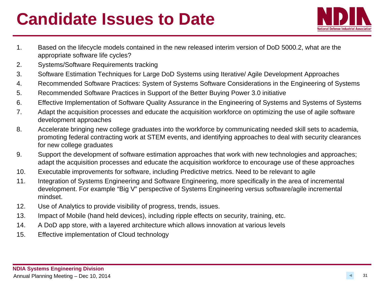## **Candidate Issues to Date**



- 1. Based on the lifecycle models contained in the new released interim version of DoD 5000.2, what are the appropriate software life cycles?
- 2. Systems/Software Requirements tracking
- 3. Software Estimation Techniques for Large DoD Systems using Iterative/ Agile Development Approaches
- 4. Recommended Software Practices: System of Systems Software Considerations in the Engineering of Systems
- 5. Recommended Software Practices in Support of the Better Buying Power 3.0 initiative
- 6. Effective Implementation of Software Quality Assurance in the Engineering of Systems and Systems of Systems
- 7. Adapt the acquisition processes and educate the acquisition workforce on optimizing the use of agile software development approaches
- 8. Accelerate bringing new college graduates into the workforce by communicating needed skill sets to academia, promoting federal contracting work at STEM events, and identifying approaches to deal with security clearances for new college graduates
- 9. Support the development of software estimation approaches that work with new technologies and approaches; adapt the acquisition processes and educate the acquisition workforce to encourage use of these approaches
- 10. Executable improvements for software, including Predictive metrics. Need to be relevant to agile
- 11. Integration of Systems Engineering and Software Engineering, more specifically in the area of incremental development. For example "Big V" perspective of Systems Engineering versus software/agile incremental mindset.
- 12. Use of Analytics to provide visibility of progress, trends, issues.
- 13. Impact of Mobile (hand held devices), including ripple effects on security, training, etc.
- 14. A DoD app store, with a layered architecture which allows innovation at various levels
- 15. Effective implementation of Cloud technology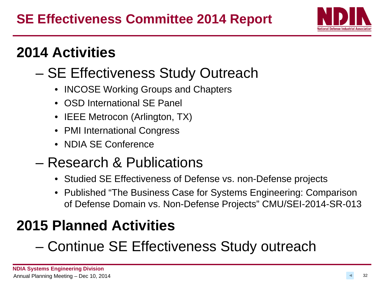

## **2014 Activities**

## – SE Effectiveness Study Outreach

- INCOSE Working Groups and Chapters
- OSD International SE Panel
- **IEEE Metrocon (Arlington, TX)**
- PMI International Congress
- NDIA SE Conference

## – Research & Publications

- Studied SE Effectiveness of Defense vs. non-Defense projects
- Published "The Business Case for Systems Engineering: Comparison of Defense Domain vs. Non-Defense Projects" CMU/SEI-2014-SR-013

## **2015 Planned Activities**

## – Continue SE Effectiveness Study outreach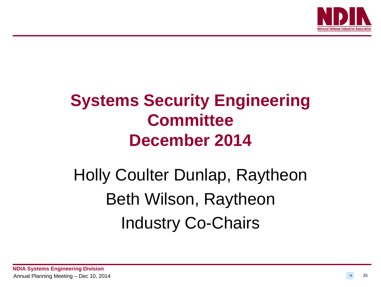

## <span id="page-32-0"></span>**Systems Security Engineering Committee December 2014**

# Holly Coulter Dunlap, Raytheon Beth Wilson, Raytheon Industry Co-Chairs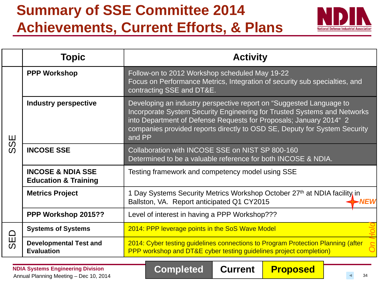## **Summary of SSE Committee 2014 Achievements, Current Efforts, & Plans**



|           | Topic                                                           | <b>Activity</b>                                                                                                                                                                                                                                                                                              |  |  |  |  |
|-----------|-----------------------------------------------------------------|--------------------------------------------------------------------------------------------------------------------------------------------------------------------------------------------------------------------------------------------------------------------------------------------------------------|--|--|--|--|
|           | <b>PPP Workshop</b>                                             | Follow-on to 2012 Workshop scheduled May 19-22<br>Focus on Performance Metrics, Integration of security sub specialties, and<br>contracting SSE and DT&E.                                                                                                                                                    |  |  |  |  |
| 59        | <b>Industry perspective</b>                                     | Developing an industry perspective report on "Suggested Language to<br>Incorporate System Security Engineering for Trusted Systems and Networks<br>into Department of Defense Requests for Proposals; January 2014" 2<br>companies provided reports directly to OSD SE, Deputy for System Security<br>and PP |  |  |  |  |
| $\Omega$  | <b>INCOSE SSE</b>                                               | Collaboration with INCOSE SSE on NIST SP 800-160<br>Determined to be a valuable reference for both INCOSE & NDIA.                                                                                                                                                                                            |  |  |  |  |
|           | <b>INCOSE &amp; NDIA SSE</b><br><b>Education &amp; Training</b> | Testing framework and competency model using SSE                                                                                                                                                                                                                                                             |  |  |  |  |
|           | <b>Metrics Project</b>                                          | 1 Day Systems Security Metrics Workshop October 27th at NDIA facility in<br>Ballston, VA. Report anticipated Q1 CY2015<br>NFW                                                                                                                                                                                |  |  |  |  |
|           | PPP Workshop 2015??                                             | Level of interest in having a PPP Workshop???                                                                                                                                                                                                                                                                |  |  |  |  |
| $\Box$    | <b>Systems of Systems</b>                                       | 2014: PPP leverage points in the SoS Wave Model                                                                                                                                                                                                                                                              |  |  |  |  |
| <b>JR</b> | <b>Developmental Test and</b><br><b>Evaluation</b>              | 2014: Cyber testing guidelines connections to Program Protection Planning (after<br>PPP workshop and DT&E cyber testing guidelines project completion)                                                                                                                                                       |  |  |  |  |

**Completed Current** 

**NDIA Systems Engineering Division** NDIA Systems Engineering Division<br>Annual Planning Meeting – Dec 10, 2014 **Completed** Current **Proposed**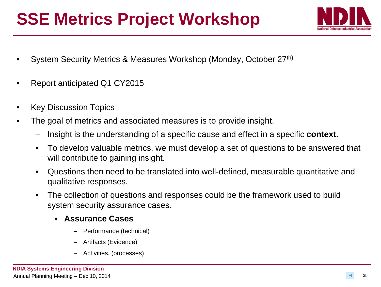## **SSE Metrics Project Workshop**



- System Security Metrics & Measures Workshop (Monday, October 27th)
- Report anticipated Q1 CY2015
- **Key Discussion Topics**
- The goal of metrics and associated measures is to provide insight.
	- Insight is the understanding of a specific cause and effect in a specific **context.**
	- To develop valuable metrics, we must develop a set of questions to be answered that will contribute to gaining insight.
	- Questions then need to be translated into well-defined, measurable quantitative and qualitative responses.
	- The collection of questions and responses could be the framework used to build system security assurance cases.
		- **Assurance Cases**
			- Performance (technical)
			- Artifacts (Evidence)
			- Activities, (processes)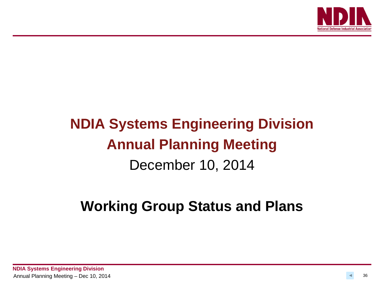

## **NDIA Systems Engineering Division Annual Planning Meeting** December 10, 2014

## **Working Group Status and Plans**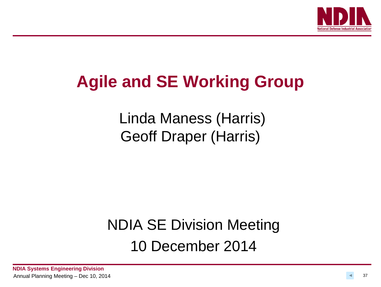

## **Agile and SE Working Group**

Linda Maness (Harris) Geoff Draper (Harris)

## NDIA SE Division Meeting 10 December 2014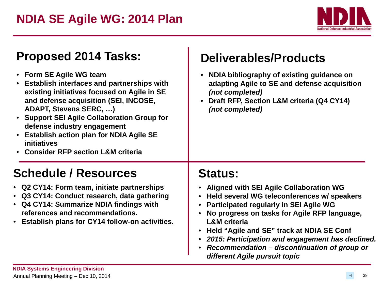

<span id="page-37-0"></span>

| <b>Proposed 2014 Tasks:</b>                                                                                                                                                                                                                                                                                                                                                            | <b>Deliverables/Products</b>                                                                                                                                                                                                                                                                                                                                                                                                                     |  |  |  |  |
|----------------------------------------------------------------------------------------------------------------------------------------------------------------------------------------------------------------------------------------------------------------------------------------------------------------------------------------------------------------------------------------|--------------------------------------------------------------------------------------------------------------------------------------------------------------------------------------------------------------------------------------------------------------------------------------------------------------------------------------------------------------------------------------------------------------------------------------------------|--|--|--|--|
| • Form SE Agile WG team<br><b>Establish interfaces and partnerships with</b><br>existing initiatives focused on Agile in SE<br>and defense acquisition (SEI, INCOSE,<br><b>ADAPT, Stevens SERC, )</b><br>• Support SEI Agile Collaboration Group for<br>defense industry engagement<br>• Establish action plan for NDIA Agile SE<br>initiatives<br>• Consider RFP section L&M criteria | NDIA bibliography of existing guidance on<br>adapting Agile to SE and defense acquisition<br>(not completed)<br>Draft RFP, Section L&M criteria (Q4 CY14)<br>(not completed)                                                                                                                                                                                                                                                                     |  |  |  |  |
| <b>Schedule / Resources</b>                                                                                                                                                                                                                                                                                                                                                            | <b>Status:</b>                                                                                                                                                                                                                                                                                                                                                                                                                                   |  |  |  |  |
| • Q2 CY14: Form team, initiate partnerships<br>• Q3 CY14: Conduct research, data gathering<br>• Q4 CY14: Summarize NDIA findings with<br>references and recommendations.<br><b>Establish plans for CY14 follow-on activities.</b><br>$\bullet$                                                                                                                                         | <b>Aligned with SEI Agile Collaboration WG</b><br>٠<br>Held several WG teleconferences w/ speakers<br>Participated regularly in SEI Agile WG<br>No progress on tasks for Agile RFP language,<br><b>L&amp;M</b> criteria<br>Held "Agile and SE" track at NDIA SE Conf<br>$\bullet$<br>2015: Participation and engagement has declined.<br>$\bullet$<br>Recommendation - discontinuation of group or<br>$\bullet$<br>different Agile pursuit topic |  |  |  |  |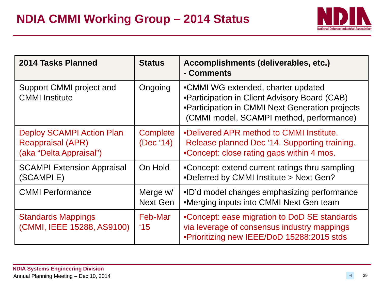

<span id="page-38-0"></span>

| 2014 Tasks Planned                                                                      | <b>Status</b>               | Accomplishments (deliverables, etc.)<br>- Comments                                                                                                                                  |
|-----------------------------------------------------------------------------------------|-----------------------------|-------------------------------------------------------------------------------------------------------------------------------------------------------------------------------------|
| Support CMMI project and<br><b>CMMI</b> Institute                                       | Ongoing                     | •CMMI WG extended, charter updated<br>• Participation in Client Advisory Board (CAB)<br>•Participation in CMMI Next Generation projects<br>(CMMI model, SCAMPI method, performance) |
| <b>Deploy SCAMPI Action Plan</b><br><b>Reappraisal (APR)</b><br>(aka "Delta Appraisal") | Complete<br>(Dec '14)       | .Delivered APR method to CMMI Institute.<br>Release planned Dec '14. Supporting training.<br>•Concept: close rating gaps within 4 mos.                                              |
| <b>SCAMPI Extension Appraisal</b><br>(SCAMPIE)                                          | On Hold                     | •Concept: extend current ratings thru sampling<br>•Deferred by CMMI Institute > Next Gen?                                                                                           |
| <b>CMMI Performance</b>                                                                 | Merge w/<br><b>Next Gen</b> | • ID'd model changes emphasizing performance<br>•Merging inputs into CMMI Next Gen team                                                                                             |
| <b>Standards Mappings</b><br>(CMMI, IEEE 15288, AS9100)                                 | Feb-Mar<br>$^{\prime}15$    | •Concept: ease migration to DoD SE standards<br>via leverage of consensus industry mappings<br>. Prioritizing new IEEE/DoD 15288:2015 stds                                          |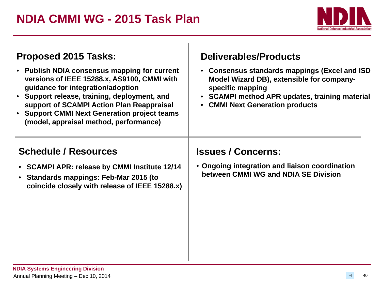

| Proposed 2015 Tasks:<br>• Publish NDIA consensus mapping for current<br>versions of IEEE 15288.x, AS9100, CMMI with<br>guidance for integration/adoption<br>• Support release, training, deployment, and<br>support of SCAMPI Action Plan Reappraisal<br>• Support CMMI Next Generation project teams<br>(model, appraisal method, performance) | <b>Deliverables/Products</b><br>• Consensus standards mappings (Excel and ISD<br>Model Wizard DB), extensible for company-<br>specific mapping<br>• SCAMPI method APR updates, training material<br>• CMMI Next Generation products |  |  |  |  |
|-------------------------------------------------------------------------------------------------------------------------------------------------------------------------------------------------------------------------------------------------------------------------------------------------------------------------------------------------|-------------------------------------------------------------------------------------------------------------------------------------------------------------------------------------------------------------------------------------|--|--|--|--|
| <b>Schedule / Resources</b><br>• SCAMPI APR: release by CMMI Institute 12/14<br>• Standards mappings: Feb-Mar 2015 (to<br>coincide closely with release of IEEE 15288.x)                                                                                                                                                                        | <b>Issues / Concerns:</b><br>• Ongoing integration and liaison coordination<br>between CMMI WG and NDIA SE Division                                                                                                                 |  |  |  |  |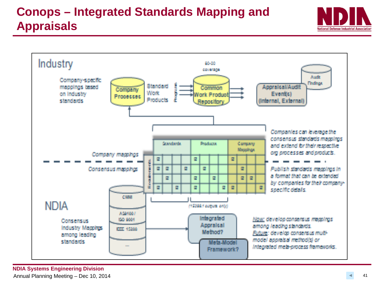### **Conops – Integrated Standards Mapping and Appraisals**